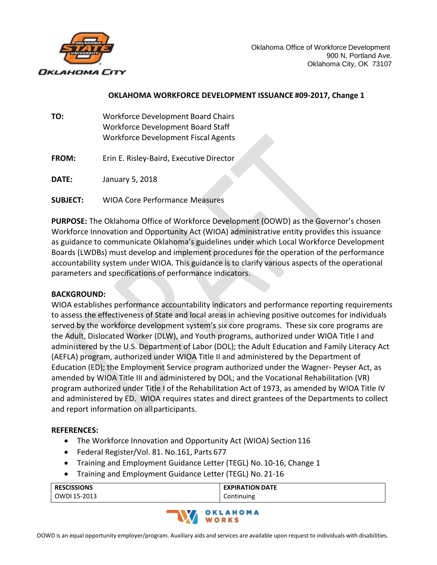

## **OKLAHOMA WORKFORCE DEVELOPMENT ISSUANCE #09-2017, Change 1**

- **TO:** Workforce Development Board Chairs Workforce Development Board Staff Workforce Development Fiscal Agents
- **FROM:** Erin E. Risley-Baird, Executive Director
- **DATE:** January 5, 2018
- **SUBJECT:** WIOA Core Performance Measures

**PURPOSE:** The Oklahoma Office of Workforce Development (OOWD) as the Governor's chosen Workforce Innovation and Opportunity Act (WIOA) administrative entity provides this issuance as guidance to communicate Oklahoma's guidelines under which Local Workforce Development Boards (LWDBs) must develop and implement procedures for the operation of the performance accountability system under WIOA. This guidance is to clarify various aspects of the operational parameters and specifications of performance indicators.

#### **BACKGROUND:**

WIOA establishes performance accountability indicators and performance reporting requirements to assess the effectiveness of State and local areas in achieving positive outcomes for individuals served by the workforce development system's six core programs. These six core programs are the Adult, Dislocated Worker (DLW), and Youth programs, authorized under WIOA Title I and administered by the U.S. Department of Labor (DOL); the Adult Education and Family Literacy Act (AEFLA) program, authorized under WIOA Title II and administered by the Department of Education (ED); the Employment Service program authorized under the Wagner- Peyser Act, as amended by WIOA Title III and administered by DOL; and the Vocational Rehabilitation (VR) program authorized under Title I of the Rehabilitation Act of 1973, as amended by WIOA Title IV and administered by ED. WIOA requires states and direct grantees of the Departments to collect and report information on allparticipants.

#### **REFERENCES:**

- The Workforce Innovation and Opportunity Act (WIOA) Section 116
- Federal Register/Vol. 81. No.161, Parts 677
- Training and Employment Guidance Letter (TEGL) No. 10-16, Change 1
- Training and Employment Guidance Letter (TEGL) No. 21-16

| <b>RESCISSIONS</b> | <b>EXPIRATION DATE</b> |
|--------------------|------------------------|
| OWDI 15-2013       | Continuing             |

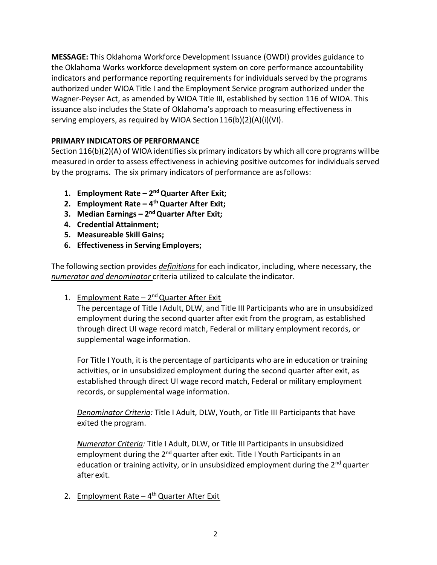**MESSAGE:** This Oklahoma Workforce Development Issuance (OWDI) provides guidance to the Oklahoma Works workforce development system on core performance accountability indicators and performance reporting requirements for individuals served by the programs authorized under WIOA Title I and the Employment Service program authorized under the Wagner-Peyser Act, as amended by WIOA Title III, established by section 116 of WIOA. This issuance also includes the State of Oklahoma's approach to measuring effectiveness in serving employers, as required by WIOA Section 116(b)(2)(A)(i)(VI).

## **PRIMARY INDICATORS OF PERFORMANCE**

Section 116(b)(2)(A) of WIOA identifies six primary indicators by which all core programs willbe measured in order to assess effectiveness in achieving positive outcomes for individuals served by the programs. The six primary indicators of performance are asfollows:

- **1. Employment Rate – 2nd Quarter After Exit;**
- **2. Employment Rate – 4th Quarter After Exit;**
- **3. Median Earnings – 2nd Quarter After Exit;**
- **4. Credential Attainment;**
- **5. Measureable Skill Gains;**
- **6. Effectiveness in Serving Employers;**

The following section provides *definitions* for each indicator, including, where necessary, the *numerator and denominator* criteria utilized to calculate theindicator.

1. Employment Rate  $-2^{nd}$  Quarter After Exit

The percentage of Title I Adult, DLW, and Title III Participants who are in unsubsidized employment during the second quarter after exit from the program, as established through direct UI wage record match, Federal or military employment records, or supplemental wage information.

For Title I Youth, it is the percentage of participants who are in education or training activities, or in unsubsidized employment during the second quarter after exit, as established through direct UI wage record match, Federal or military employment records, or supplemental wage information.

*Denominator Criteria:* Title I Adult, DLW, Youth, or Title III Participants that have exited the program.

*Numerator Criteria:* Title I Adult, DLW, or Title III Participants in unsubsidized employment during the 2<sup>nd</sup> quarter after exit. Title I Youth Participants in an education or training activity, or in unsubsidized employment during the  $2^{nd}$  quarter afterexit.

2. Employment Rate  $-4$ <sup>th</sup> Quarter After Exit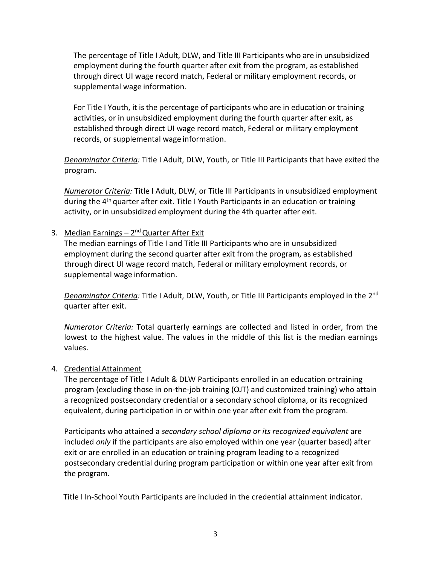The percentage of Title I Adult, DLW, and Title III Participants who are in unsubsidized employment during the fourth quarter after exit from the program, as established through direct UI wage record match, Federal or military employment records, or supplemental wage information.

For Title I Youth, it is the percentage of participants who are in education or training activities, or in unsubsidized employment during the fourth quarter after exit, as established through direct UI wage record match, Federal or military employment records, or supplemental wage information.

*Denominator Criteria:* Title I Adult, DLW, Youth, or Title III Participants that have exited the program.

*Numerator Criteria:* Title I Adult, DLW, or Title III Participants in unsubsidized employment during the 4<sup>th</sup> quarter after exit. Title I Youth Participants in an education or training activity, or in unsubsidized employment during the 4th quarter after exit.

## 3. Median Earnings  $-2^{nd}$  Quarter After Exit

The median earnings of Title I and Title III Participants who are in unsubsidized employment during the second quarter after exit from the program, as established through direct UI wage record match, Federal or military employment records, or supplemental wage information.

*Denominator Criteria:* Title I Adult, DLW, Youth, or Title III Participants employed in the 2nd quarter after exit.

*Numerator Criteria:* Total quarterly earnings are collected and listed in order, from the lowest to the highest value. The values in the middle of this list is the median earnings values.

## 4. Credential Attainment

The percentage of Title I Adult & DLW Participants enrolled in an education ortraining program (excluding those in on-the-job training (OJT) and customized training) who attain a recognized postsecondary credential or a secondary school diploma, or its recognized equivalent, during participation in or within one year after exit from the program.

Participants who attained a *secondary school diploma or its recognized equivalent* are included *only* if the participants are also employed within one year (quarter based) after exit or are enrolled in an education or training program leading to a recognized postsecondary credential during program participation or within one year after exit from the program.

Title I In-School Youth Participants are included in the credential attainment indicator.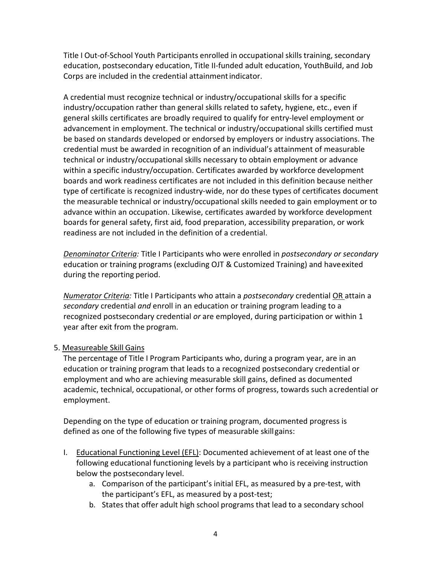Title I Out-of-School Youth Participants enrolled in occupational skills training, secondary education, postsecondary education, Title II-funded adult education, YouthBuild, and Job Corps are included in the credential attainmentindicator.

A credential must recognize technical or industry/occupational skills for a specific industry/occupation rather than general skills related to safety, hygiene, etc., even if general skills certificates are broadly required to qualify for entry-level employment or advancement in employment. The technical or industry/occupational skills certified must be based on standards developed or endorsed by employers or industry associations. The credential must be awarded in recognition of an individual's attainment of measurable technical or industry/occupational skills necessary to obtain employment or advance within a specific industry/occupation. Certificates awarded by workforce development boards and work readiness certificates are not included in this definition because neither type of certificate is recognized industry-wide, nor do these types of certificates document the measurable technical or industry/occupational skills needed to gain employment or to advance within an occupation. Likewise, certificates awarded by workforce development boards for general safety, first aid, food preparation, accessibility preparation, or work readiness are not included in the definition of a credential.

*Denominator Criteria:* Title I Participants who were enrolled in *postsecondary or secondary*  education or training programs (excluding OJT & Customized Training) and haveexited during the reporting period.

*Numerator Criteria:* Title I Participants who attain a *postsecondary* credential OR attain a *secondary* credential *and* enroll in an education or training program leading to a recognized postsecondary credential *or* are employed, during participation or within 1 year after exit from the program.

## 5. Measureable Skill Gains

The percentage of Title I Program Participants who, during a program year, are in an education or training program that leads to a recognized postsecondary credential or employment and who are achieving measurable skill gains, defined as documented academic, technical, occupational, or other forms of progress, towards such acredential or employment.

Depending on the type of education or training program, documented progress is defined as one of the following five types of measurable skillgains:

- I. Educational Functioning Level (EFL): Documented achievement of at least one of the following educational functioning levels by a participant who is receiving instruction below the postsecondary level.
	- a. Comparison of the participant's initial EFL, as measured by a pre-test, with the participant's EFL, as measured by a post-test;
	- b. States that offer adult high school programs that lead to a secondary school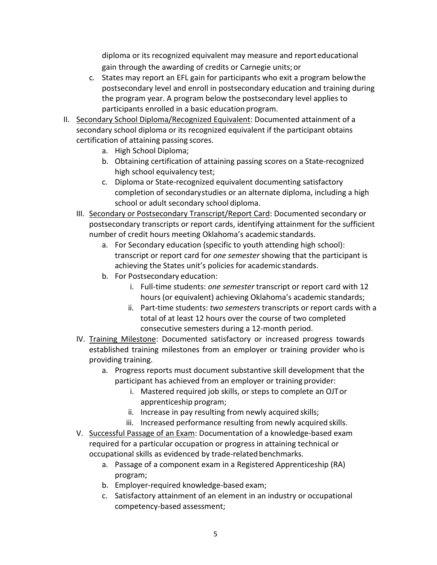diploma or its recognized equivalent may measure and reporteducational gain through the awarding of credits or Carnegie units; or

- c. States may report an EFL gain for participants who exit a program belowthe postsecondary level and enroll in postsecondary education and training during the program year. A program below the postsecondary level applies to participants enrolled in a basic education program.
- II. Secondary School Diploma/Recognized Equivalent: Documented attainment of a secondary school diploma or its recognized equivalent if the participant obtains certification of attaining passing scores.
	- a. High School Diploma;
	- b. Obtaining certification of attaining passing scores on a State-recognized high school equivalency test;
	- c. Diploma or State-recognized equivalent documenting satisfactory completion of secondarystudies or an alternate diploma, including a high school or adult secondary school diploma.
	- III. Secondary or Postsecondary Transcript/Report Card: Documented secondary or postsecondary transcripts or report cards, identifying attainment for the sufficient number of credit hours meeting Oklahoma's academic standards.
		- a. For Secondary education (specific to youth attending high school): transcript or report card for *one semester* showing that the participant is achieving the States unit's policies for academic standards.
		- b. For Postsecondary education:
			- i. Full-time students: *one semester* transcript or report card with 12 hours (or equivalent) achieving Oklahoma's academic standards;
			- ii. Part-time students: *two semester*s transcripts or report cards with a total of at least 12 hours over the course of two completed consecutive semesters during a 12-month period.
	- IV. Training Milestone: Documented satisfactory or increased progress towards established training milestones from an employer or training provider who is providing training.
		- a. Progress reports must document substantive skill development that the participant has achieved from an employer or training provider:
			- i. Mastered required job skills, or steps to complete an OJTor apprenticeship program;
			- ii. Increase in pay resulting from newly acquired skills;
			- iii. Increased performance resulting from newly acquired skills.
	- V. Successful Passage of an Exam: Documentation of a knowledge-based exam required for a particular occupation or progress in attaining technical or occupational skills as evidenced by trade-relatedbenchmarks.
		- a. Passage of a component exam in a Registered Apprenticeship (RA) program;
		- b. Employer-required knowledge-based exam;
		- c. Satisfactory attainment of an element in an industry or occupational competency-based assessment;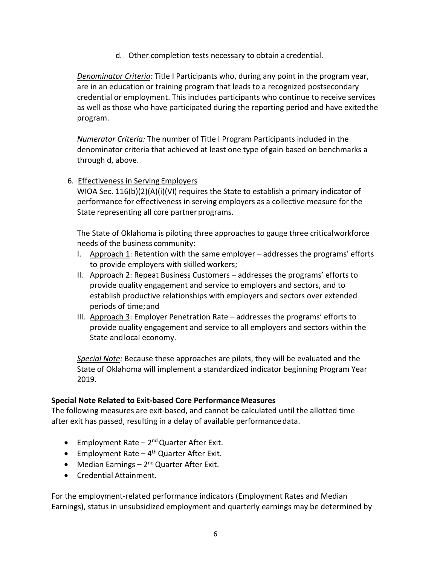d. Other completion tests necessary to obtain a credential.

*Denominator Criteria:* Title I Participants who, during any point in the program year, are in an education or training program that leads to a recognized postsecondary credential or employment. This includes participants who continue to receive services as well as those who have participated during the reporting period and have exitedthe program.

*Numerator Criteria:* The number of Title I Program Participants included in the denominator criteria that achieved at least one type of gain based on benchmarks a through d, above.

6. Effectiveness in Serving Employers

WIOA Sec.  $116(b)(2)(A)(i)(V)$  requires the State to establish a primary indicator of performance for effectiveness in serving employers as a collective measure for the State representing all core partner programs.

The State of Oklahoma is piloting three approaches to gauge three criticalworkforce needs of the business community:

- I. Approach 1: Retention with the same employer  $-$  addresses the programs' efforts to provide employers with skilled workers;
- II. Approach 2: Repeat Business Customers addresses the programs' efforts to provide quality engagement and service to employers and sectors, and to establish productive relationships with employers and sectors over extended periods of time;and
- III. Approach 3: Employer Penetration Rate addresses the programs' efforts to provide quality engagement and service to all employers and sectors within the State andlocal economy.

*Special Note:* Because these approaches are pilots, they will be evaluated and the State of Oklahoma will implement a standardized indicator beginning Program Year 2019.

#### **Special Note Related to Exit-based Core PerformanceMeasures**

The following measures are exit-based, and cannot be calculated until the allotted time after exit has passed, resulting in a delay of available performance data.

- Employment Rate  $2^{nd}$  Quarter After Exit.
- **•** Employment Rate  $-4$ <sup>th</sup> Quarter After Exit.
- Median Earnings  $2^{nd}$  Quarter After Exit.
- Credential Attainment.

For the employment-related performance indicators (Employment Rates and Median Earnings), status in unsubsidized employment and quarterly earnings may be determined by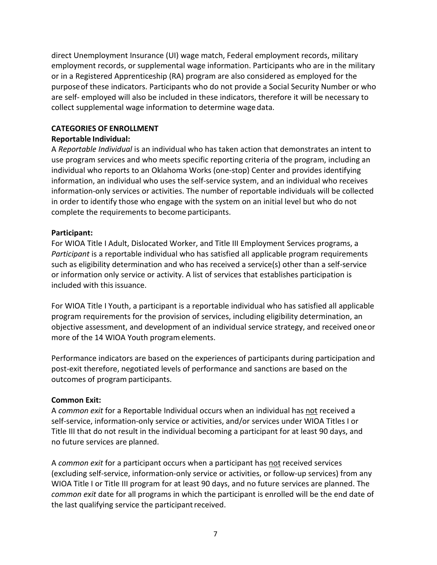direct Unemployment Insurance (UI) wage match, Federal employment records, military employment records, or supplemental wage information. Participants who are in the military or in a Registered Apprenticeship (RA) program are also considered as employed for the purposeof these indicators. Participants who do not provide a Social Security Number or who are self- employed will also be included in these indicators, therefore it will be necessary to collect supplemental wage information to determine wage data.

### **CATEGORIES OF ENROLLMENT**

## **Reportable Individual:**

A *Reportable Individual* is an individual who has taken action that demonstrates an intent to use program services and who meets specific reporting criteria of the program, including an individual who reports to an Oklahoma Works (one-stop) Center and provides identifying information, an individual who uses the self-service system, and an individual who receives information-only services or activities. The number of reportable individuals will be collected in order to identify those who engage with the system on an initial level but who do not complete the requirements to become participants.

#### **Participant:**

For WIOA Title I Adult, Dislocated Worker, and Title III Employment Services programs, a *Participant* is a reportable individual who has satisfied all applicable program requirements such as eligibility determination and who has received a service(s) other than a self-service or information only service or activity. A list of services that establishes participation is included with this issuance.

For WIOA Title I Youth, a participant is a reportable individual who has satisfied all applicable program requirements for the provision of services, including eligibility determination, an objective assessment, and development of an individual service strategy, and received oneor more of the 14 WIOA Youth programelements.

Performance indicators are based on the experiences of participants during participation and post-exit therefore, negotiated levels of performance and sanctions are based on the outcomes of program participants.

## **Common Exit:**

A *common exit* for a Reportable Individual occurs when an individual has not received a self-service, information-only service or activities, and/or services under WIOA Titles I or Title III that do not result in the individual becoming a participant for at least 90 days, and no future services are planned.

A *common exit* for a participant occurs when a participant has not received services (excluding self-service, information-only service or activities, or follow-up services) from any WIOA Title I or Title III program for at least 90 days, and no future services are planned. The *common exit* date for all programs in which the participant is enrolled will be the end date of the last qualifying service the participant received.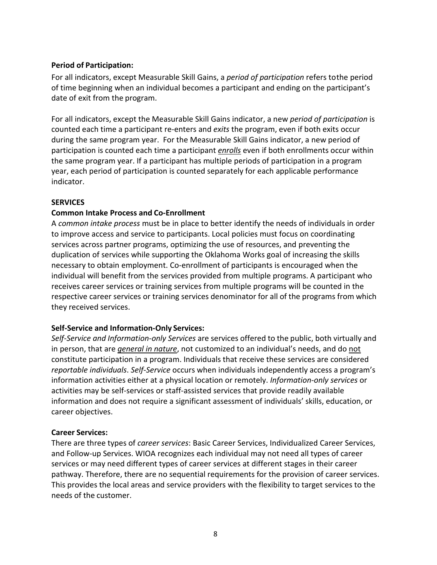### **Period of Participation:**

For all indicators, except Measurable Skill Gains, a *period of participation* refers tothe period of time beginning when an individual becomes a participant and ending on the participant's date of exit from the program.

For all indicators, except the Measurable Skill Gains indicator, a new *period of participation* is counted each time a participant re-enters and *exits* the program, even if both exits occur during the same program year. For the Measurable Skill Gains indicator, a new period of participation is counted each time a participant *enrolls* even if both enrollments occur within the same program year. If a participant has multiple periods of participation in a program year, each period of participation is counted separately for each applicable performance indicator.

#### **SERVICES**

#### **Common Intake Process and Co-Enrollment**

A *common intake process* must be in place to better identify the needs of individuals in order to improve access and service to participants. Local policies must focus on coordinating services across partner programs, optimizing the use of resources, and preventing the duplication of services while supporting the Oklahoma Works goal of increasing the skills necessary to obtain employment. Co-enrollment of participants is encouraged when the individual will benefit from the services provided from multiple programs. A participant who receives career services or training services from multiple programs will be counted in the respective career services or training services denominator for all of the programs from which they received services.

## **Self-Service and Information-Only Services:**

*Self-Service and Information-only Services* are services offered to the public, both virtually and in person, that are *general in nature*, not customized to an individual's needs, and do not constitute participation in a program. Individuals that receive these services are considered *reportable individuals*. *Self-Service* occurs when individuals independently access a program's information activities either at a physical location or remotely. *Information-only services* or activities may be self-services or staff-assisted services that provide readily available information and does not require a significant assessment of individuals' skills, education, or career objectives.

#### **Career Services:**

There are three types of *career services*: Basic Career Services, Individualized Career Services, and Follow-up Services. WIOA recognizes each individual may not need all types of career services or may need different types of career services at different stages in their career pathway. Therefore, there are no sequential requirements for the provision of career services. This provides the local areas and service providers with the flexibility to target services to the needs of the customer.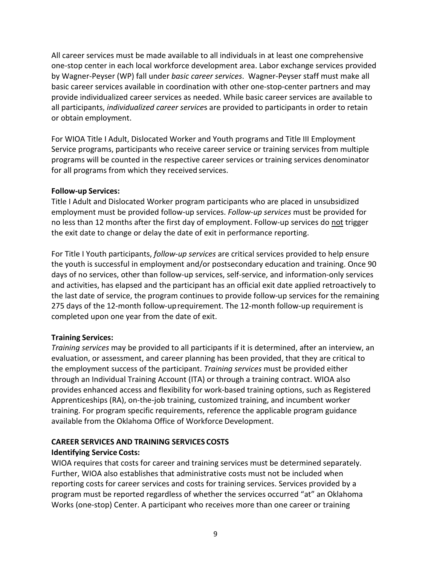All career services must be made available to all individuals in at least one comprehensive one-stop center in each local workforce development area. Labor exchange services provided by Wagner-Peyser (WP) fall under *basic career services*. Wagner-Peyser staff must make all basic career services available in coordination with other one-stop-center partners and may provide individualized career services as needed. While basic career services are available to all participants, *individualized career service*s are provided to participants in order to retain or obtain employment.

For WIOA Title I Adult, Dislocated Worker and Youth programs and Title III Employment Service programs, participants who receive career service or training services from multiple programs will be counted in the respective career services or training services denominator for all programs from which they received services.

#### **Follow-up Services:**

Title I Adult and Dislocated Worker program participants who are placed in unsubsidized employment must be provided follow-up services. *Follow-up services* must be provided for no less than 12 months after the first day of employment. Follow-up services do not trigger the exit date to change or delay the date of exit in performance reporting.

For Title I Youth participants, *follow-up services* are critical services provided to help ensure the youth is successful in employment and/or postsecondary education and training. Once 90 days of no services, other than follow-up services, self-service, and information-only services and activities, has elapsed and the participant has an official exit date applied retroactively to the last date of service, the program continues to provide follow-up services for the remaining 275 days of the 12-month follow-uprequirement. The 12-month follow-up requirement is completed upon one year from the date of exit.

## **Training Services:**

*Training services* may be provided to all participants if it is determined, after an interview, an evaluation, or assessment, and career planning has been provided, that they are critical to the employment success of the participant. *Training services* must be provided either through an Individual Training Account (ITA) or through a training contract. WIOA also provides enhanced access and flexibility for work-based training options, such as Registered Apprenticeships (RA), on-the-job training, customized training, and incumbent worker training. For program specific requirements, reference the applicable program guidance available from the Oklahoma Office of Workforce Development.

## **CAREER SERVICES AND TRAINING SERVICES COSTS**

## **Identifying Service Costs:**

WIOA requires that costs for career and training services must be determined separately. Further, WIOA also establishes that administrative costs must not be included when reporting costs for career services and costs for training services. Services provided by a program must be reported regardless of whether the services occurred "at" an Oklahoma Works (one-stop) Center. A participant who receives more than one career or training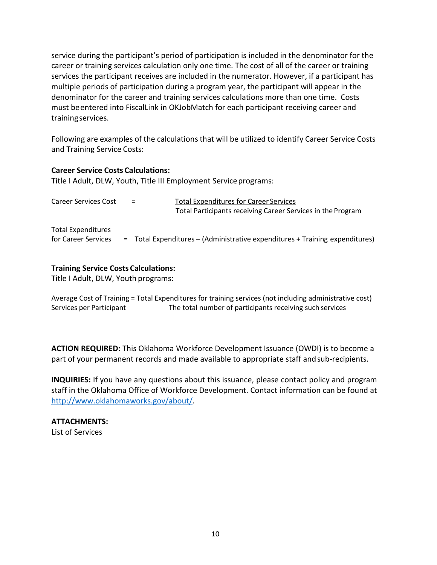service during the participant's period of participation is included in the denominator for the career or training services calculation only one time. The cost of all of the career or training services the participant receives are included in the numerator. However, if a participant has multiple periods of participation during a program year, the participant will appear in the denominator for the career and training services calculations more than one time. Costs must beentered into FiscalLink in OKJobMatch for each participant receiving career and trainingservices.

Following are examples of the calculations that will be utilized to identify Career Service Costs and Training Service Costs:

#### **Career Service Costs Calculations:**

Title I Adult, DLW, Youth, Title III Employment Serviceprograms:

| <b>Career Services Cost</b>                      | $=$ | <b>Total Expenditures for Career Services</b><br>Total Participants receiving Career Services in the Program |
|--------------------------------------------------|-----|--------------------------------------------------------------------------------------------------------------|
| <b>Total Expenditures</b><br>for Career Services |     | = Total Expenditures - (Administrative expenditures + Training expenditures)                                 |

#### **Training Service Costs Calculations:**

Title I Adult, DLW, Youth programs:

Average Cost of Training = Total Expenditures for training services (not including administrative cost) Services per Participant The total number of participants receiving such services

**ACTION REQUIRED:** This Oklahoma Workforce Development Issuance (OWDI) is to become a part of your permanent records and made available to appropriate staff andsub-recipients.

**INQUIRIES:** If you have any questions about this issuance, please contact policy and program staff in the Oklahoma Office of Workforce Development. Contact information can be found at [http://www.oklahomaworks.gov/about/.](http://www.oklahomaworks.gov/about/)

**ATTACHMENTS:** List of Services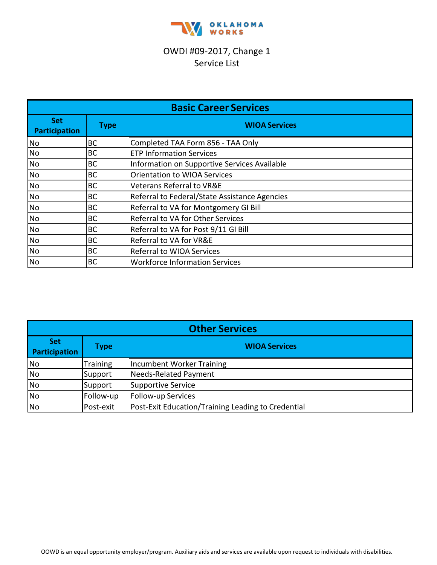

# OWDI #09-2017, Change 1 Service List

| <b>Basic Career Services</b> |             |                                               |  |
|------------------------------|-------------|-----------------------------------------------|--|
| <b>Set</b><br>Participation  | <b>Type</b> | <b>WIOA Services</b>                          |  |
| <b>No</b>                    | BC          | Completed TAA Form 856 - TAA Only             |  |
| <b>No</b>                    | BC          | <b>ETP Information Services</b>               |  |
| <b>No</b>                    | <b>BC</b>   | Information on Supportive Services Available  |  |
| <b>No</b>                    | <b>BC</b>   | <b>Orientation to WIOA Services</b>           |  |
| <b>No</b>                    | BC          | <b>Veterans Referral to VR&amp;E</b>          |  |
| <b>No</b>                    | BC          | Referral to Federal/State Assistance Agencies |  |
| <b>No</b>                    | <b>BC</b>   | Referral to VA for Montgomery GI Bill         |  |
| <b>No</b>                    | <b>BC</b>   | Referral to VA for Other Services             |  |
| <b>No</b>                    | <b>BC</b>   | Referral to VA for Post 9/11 GI Bill          |  |
| <b>No</b>                    | <b>BC</b>   | Referral to VA for VR&E                       |  |
| <b>No</b>                    | <b>BC</b>   | Referral to WIOA Services                     |  |
| <b>No</b>                    | <b>BC</b>   | <b>Workforce Information Services</b>         |  |

| <b>Other Services</b>              |                 |                                                    |  |
|------------------------------------|-----------------|----------------------------------------------------|--|
| <b>Set</b><br><b>Participation</b> | <b>Type</b>     | <b>WIOA Services</b>                               |  |
| <b>No</b>                          | <b>Training</b> | Incumbent Worker Training                          |  |
| <b>No</b>                          | Support         | Needs-Related Payment                              |  |
| <b>No</b>                          | Support         | Supportive Service                                 |  |
| <b>No</b>                          | Follow-up       | Follow-up Services                                 |  |
| <b>No</b>                          | Post-exit       | Post-Exit Education/Training Leading to Credential |  |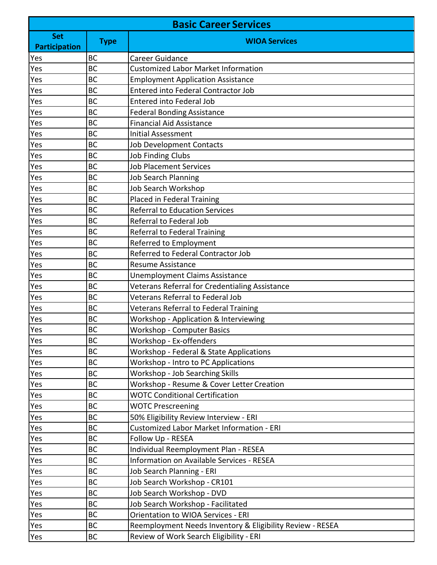| <b>Basic Career Services</b> |             |                                                           |  |
|------------------------------|-------------|-----------------------------------------------------------|--|
| <b>Set</b>                   | <b>Type</b> | <b>WIOA Services</b>                                      |  |
| <b>Participation</b>         |             |                                                           |  |
| Yes                          | <b>BC</b>   | <b>Career Guidance</b>                                    |  |
| Yes                          | <b>BC</b>   | <b>Customized Labor Market Information</b>                |  |
| Yes                          | <b>BC</b>   | <b>Employment Application Assistance</b>                  |  |
| Yes                          | <b>BC</b>   | Entered into Federal Contractor Job                       |  |
| Yes                          | <b>BC</b>   | Entered into Federal Job                                  |  |
| Yes                          | <b>BC</b>   | <b>Federal Bonding Assistance</b>                         |  |
| Yes                          | BC          | <b>Financial Aid Assistance</b>                           |  |
| Yes                          | BC          | <b>Initial Assessment</b>                                 |  |
| Yes                          | <b>BC</b>   | <b>Job Development Contacts</b>                           |  |
| Yes                          | <b>BC</b>   | <b>Job Finding Clubs</b>                                  |  |
| Yes                          | <b>BC</b>   | <b>Job Placement Services</b>                             |  |
| Yes                          | <b>BC</b>   | <b>Job Search Planning</b>                                |  |
| Yes                          | <b>BC</b>   | Job Search Workshop                                       |  |
| Yes                          | <b>BC</b>   | Placed in Federal Training                                |  |
| Yes                          | <b>BC</b>   | <b>Referral to Education Services</b>                     |  |
| Yes                          | <b>BC</b>   | Referral to Federal Job                                   |  |
| Yes                          | <b>BC</b>   | Referral to Federal Training                              |  |
| Yes                          | <b>BC</b>   | Referred to Employment                                    |  |
| Yes                          | BC          | Referred to Federal Contractor Job                        |  |
| Yes                          | <b>BC</b>   | <b>Resume Assistance</b>                                  |  |
| Yes                          | <b>BC</b>   | Unemployment Claims Assistance                            |  |
| Yes                          | <b>BC</b>   | Veterans Referral for Credentialing Assistance            |  |
| Yes                          | <b>BC</b>   | Veterans Referral to Federal Job                          |  |
| Yes                          | <b>BC</b>   | Veterans Referral to Federal Training                     |  |
| Yes                          | <b>BC</b>   | Workshop - Application & Interviewing                     |  |
| <b>Yes</b>                   | <b>BC</b>   | <b>Workshop - Computer Basics</b>                         |  |
| Yes                          | <b>BC</b>   | Workshop - Ex-offenders                                   |  |
| Yes                          | <b>BC</b>   | Workshop - Federal & State Applications                   |  |
| Yes                          | <b>BC</b>   | Workshop - Intro to PC Applications                       |  |
| Yes                          | <b>BC</b>   | Workshop - Job Searching Skills                           |  |
| Yes                          | <b>BC</b>   | Workshop - Resume & Cover Letter Creation                 |  |
| Yes                          | <b>BC</b>   | <b>WOTC Conditional Certification</b>                     |  |
| Yes                          | <b>BC</b>   | <b>WOTC Prescreening</b>                                  |  |
| Yes                          | <b>BC</b>   | 50% Eligibility Review Interview - ERI                    |  |
| Yes                          | <b>BC</b>   | Customized Labor Market Information - ERI                 |  |
| Yes                          | <b>BC</b>   | Follow Up - RESEA                                         |  |
| Yes                          | <b>BC</b>   | Individual Reemployment Plan - RESEA                      |  |
| Yes                          | <b>BC</b>   | Information on Available Services - RESEA                 |  |
| Yes                          | <b>BC</b>   | Job Search Planning - ERI                                 |  |
| Yes                          | <b>BC</b>   | Job Search Workshop - CR101                               |  |
| Yes                          | <b>BC</b>   | Job Search Workshop - DVD                                 |  |
| Yes                          | <b>BC</b>   | Job Search Workshop - Facilitated                         |  |
| Yes                          | <b>BC</b>   | <b>Orientation to WIOA Services - ERI</b>                 |  |
| Yes                          | <b>BC</b>   | Reemployment Needs Inventory & Eligibility Review - RESEA |  |
| Yes                          | <b>BC</b>   | Review of Work Search Eligibility - ERI                   |  |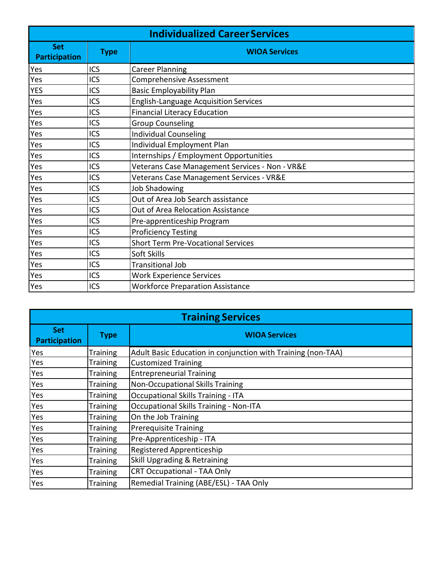| <b>Individualized Career Services</b> |             |                                                |  |
|---------------------------------------|-------------|------------------------------------------------|--|
| <b>Set</b><br><b>Participation</b>    | <b>Type</b> | <b>WIOA Services</b>                           |  |
| Yes                                   | ICS         | <b>Career Planning</b>                         |  |
| Yes                                   | <b>ICS</b>  | <b>Comprehensive Assessment</b>                |  |
| <b>YES</b>                            | ICS         | <b>Basic Employability Plan</b>                |  |
| Yes                                   | <b>ICS</b>  | <b>English-Language Acquisition Services</b>   |  |
| Yes                                   | ICS         | <b>Financial Literacy Education</b>            |  |
| Yes                                   | ICS         | <b>Group Counseling</b>                        |  |
| Yes                                   | ICS         | <b>Individual Counseling</b>                   |  |
| Yes                                   | ICS         | Individual Employment Plan                     |  |
| Yes                                   | ICS         | Internships / Employment Opportunities         |  |
| Yes                                   | ICS         | Veterans Case Management Services - Non - VR&E |  |
| Yes                                   | ICS         | Veterans Case Management Services - VR&E       |  |
| Yes                                   | ICS         | <b>Job Shadowing</b>                           |  |
| Yes                                   | ICS         | Out of Area Job Search assistance              |  |
| Yes                                   | ICS         | Out of Area Relocation Assistance              |  |
| Yes                                   | ICS         | Pre-apprenticeship Program                     |  |
| Yes                                   | ICS         | <b>Proficiency Testing</b>                     |  |
| Yes                                   | ICS         | <b>Short Term Pre-Vocational Services</b>      |  |
| Yes                                   | <b>ICS</b>  | Soft Skills                                    |  |
| Yes                                   | ICS         | <b>Transitional Job</b>                        |  |
| Yes                                   | ICS         | <b>Work Experience Services</b>                |  |
| Yes                                   | ICS         | <b>Workforce Preparation Assistance</b>        |  |

| <b>Training Services</b>    |                 |                                                              |  |
|-----------------------------|-----------------|--------------------------------------------------------------|--|
| Set<br><b>Participation</b> | <b>Type</b>     | <b>WIOA Services</b>                                         |  |
| Yes                         | <b>Training</b> | Adult Basic Education in conjunction with Training (non-TAA) |  |
| Yes                         | <b>Training</b> | <b>Customized Training</b>                                   |  |
| Yes                         | <b>Training</b> | <b>Entrepreneurial Training</b>                              |  |
| Yes                         | <b>Training</b> | <b>Non-Occupational Skills Training</b>                      |  |
| Yes                         | <b>Training</b> | <b>Occupational Skills Training - ITA</b>                    |  |
| Yes                         | <b>Training</b> | <b>Occupational Skills Training - Non-ITA</b>                |  |
| Yes                         | <b>Training</b> | On the Job Training                                          |  |
| Yes                         | <b>Training</b> | <b>Prerequisite Training</b>                                 |  |
| Yes                         | <b>Training</b> | Pre-Apprenticeship - ITA                                     |  |
| Yes                         | <b>Training</b> | Registered Apprenticeship                                    |  |
| Yes                         | <b>Training</b> | <b>Skill Upgrading &amp; Retraining</b>                      |  |
| Yes                         | <b>Training</b> | <b>CRT Occupational - TAA Only</b>                           |  |
| Yes                         | <b>Training</b> | Remedial Training (ABE/ESL) - TAA Only                       |  |